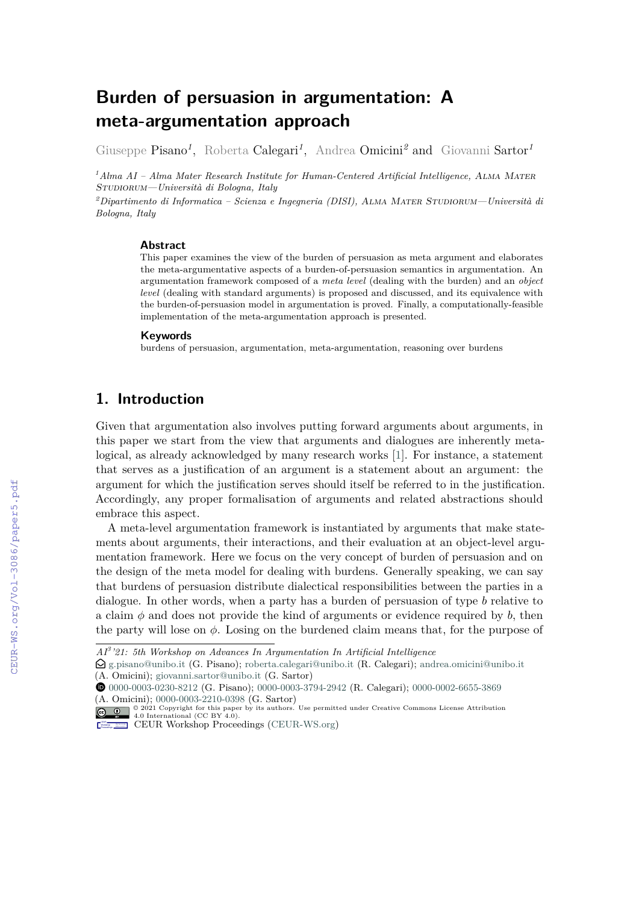# **Burden of persuasion in argumentation: A meta-argumentation approach**

Giuseppe Pisano<sup>1</sup>, Roberta Calegari<sup>1</sup>, Andrea Omicini<sup>2</sup> and Giovanni Sartor<sup>1</sup>

*<sup>1</sup>Alma AI – Alma Mater Research Institute for Human-Centered Artificial Intelligence,* Alma Mater Studiorum*—Università di Bologna, Italy*

*<sup>2</sup>Dipartimento di Informatica – Scienza e Ingegneria (DISI),* Alma Mater Studiorum*—Università di Bologna, Italy*

#### **Abstract**

This paper examines the view of the burden of persuasion as meta argument and elaborates the meta-argumentative aspects of a burden-of-persuasion semantics in argumentation. An argumentation framework composed of a *meta level* (dealing with the burden) and an *object level* (dealing with standard arguments) is proposed and discussed, and its equivalence with the burden-of-persuasion model in argumentation is proved. Finally, a computationally-feasible implementation of the meta-argumentation approach is presented.

#### **Keywords**

burdens of persuasion, argumentation, meta-argumentation, reasoning over burdens

### **1. Introduction**

Given that argumentation also involves putting forward arguments about arguments, in this paper we start from the view that arguments and dialogues are inherently metalogical, as already acknowledged by many research works [\[1\]](#page--1-0). For instance, a statement that serves as a justification of an argument is a statement about an argument: the argument for which the justification serves should itself be referred to in the justification. Accordingly, any proper formalisation of arguments and related abstractions should embrace this aspect.

A meta-level argumentation framework is instantiated by arguments that make statements about arguments, their interactions, and their evaluation at an object-level argumentation framework. Here we focus on the very concept of burden of persuasion and on the design of the meta model for dealing with burdens. Generally speaking, we can say that burdens of persuasion distribute dialectical responsibilities between the parties in a dialogue. In other words, when a party has a burden of persuasion of type  $b$  relative to a claim  $\phi$  and does not provide the kind of arguments or evidence required by  $b$ , then the party will lose on  $\phi$ . Losing on the burdened claim means that, for the purpose of

*AI<sup>3</sup> '21: 5th Workshop on Advances In Argumentation In Artificial Intelligence*

 $\bigcirc$ [g.pisano@unibo.it](mailto:g.pisano@unibo.it) (G. Pisano); [roberta.calegari@unibo.it](mailto:roberta.calegari@unibo.it) (R. Calegari); [andrea.omicini@unibo.it](mailto:andrea.omicini@unibo.it) (A. Omicini); [giovanni.sartor@unibo.it](mailto:giovanni.sartor@unibo.it) (G. Sartor)

[0000-0003-0230-8212](https://orcid.org/0000-0003-0230-8212) (G. Pisano); [0000-0003-3794-2942](https://orcid.org/0000-0003-3794-2942) (R. Calegari); [0000-0002-6655-3869](https://orcid.org/0000-0002-6655-3869)

<sup>(</sup>A. Omicini); [0000-0003-2210-0398](https://orcid.org/0000-0003-2210-0398) (G. Sartor)<br>  $\bigcirc \bigcirc_{n=2}^{\infty} \bigcirc_{n=2}^{\infty}$  2021 Copyright for this paper by its authors. Use permitted under Creative Commons License Attribution<br>
4.0 International (CC BY 4.0). CEUR Workshop [Proceedings](http://ceur-ws.org) [\(CEUR-WS.org\)](http://ceur-ws.org)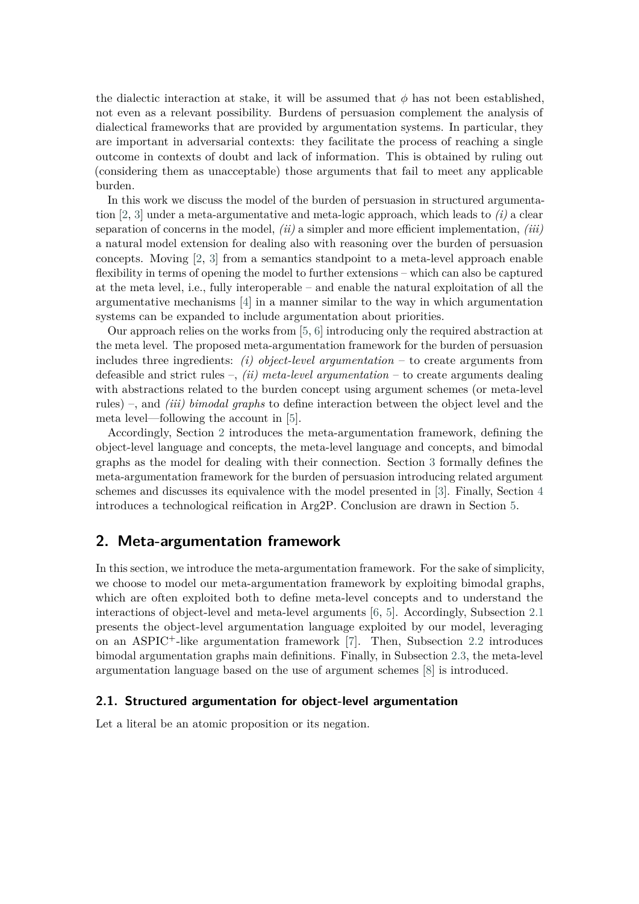the dialectic interaction at stake, it will be assumed that  $\phi$  has not been established, not even as a relevant possibility. Burdens of persuasion complement the analysis of dialectical frameworks that are provided by argumentation systems. In particular, they are important in adversarial contexts: they facilitate the process of reaching a single outcome in contexts of doubt and lack of information. This is obtained by ruling out (considering them as unacceptable) those arguments that fail to meet any applicable burden.

In this work we discuss the model of the burden of persuasion in structured argumentation [\[2,](#page-15-0) [3\]](#page-15-1) under a meta-argumentative and meta-logic approach, which leads to *(i)* a clear separation of concerns in the model, *(ii)* a simpler and more efficient implementation, *(iii)* a natural model extension for dealing also with reasoning over the burden of persuasion concepts. Moving [\[2,](#page-15-0) [3\]](#page-15-1) from a semantics standpoint to a meta-level approach enable flexibility in terms of opening the model to further extensions – which can also be captured at the meta level, i.e., fully interoperable – and enable the natural exploitation of all the argumentative mechanisms [\[4\]](#page-15-2) in a manner similar to the way in which argumentation systems can be expanded to include argumentation about priorities.

Our approach relies on the works from [\[5,](#page-15-3) [6\]](#page-15-4) introducing only the required abstraction at the meta level. The proposed meta-argumentation framework for the burden of persuasion includes three ingredients: *(i) object-level argumentation* – to create arguments from defeasible and strict rules –, *(ii) meta-level argumentation* – to create arguments dealing with abstractions related to the burden concept using argument schemes (or meta-level rules) –, and *(iii) bimodal graphs* to define interaction between the object level and the meta level—following the account in [\[5\]](#page-15-3).

Accordingly, Section [2](#page-1-0) introduces the meta-argumentation framework, defining the object-level language and concepts, the meta-level language and concepts, and bimodal graphs as the model for dealing with their connection. Section [3](#page-6-0) formally defines the meta-argumentation framework for the burden of persuasion introducing related argument schemes and discusses its equivalence with the model presented in [\[3\]](#page-15-1). Finally, Section [4](#page-12-0) introduces a technological reification in Arg2P. Conclusion are drawn in Section [5.](#page-13-0)

### <span id="page-1-0"></span>**2. Meta-argumentation framework**

In this section, we introduce the meta-argumentation framework. For the sake of simplicity, we choose to model our meta-argumentation framework by exploiting bimodal graphs, which are often exploited both to define meta-level concepts and to understand the interactions of object-level and meta-level arguments [\[6,](#page-15-4) [5\]](#page-15-3). Accordingly, Subsection [2.1](#page-1-1) presents the object-level argumentation language exploited by our model, leveraging on an ASPIC+-like argumentation framework [\[7\]](#page-15-5). Then, Subsection [2.2](#page-4-0) introduces bimodal argumentation graphs main definitions. Finally, in Subsection [2.3,](#page-5-0) the meta-level argumentation language based on the use of argument schemes [\[8\]](#page-15-6) is introduced.

#### <span id="page-1-1"></span>**2.1. Structured argumentation for object-level argumentation**

Let a literal be an atomic proposition or its negation.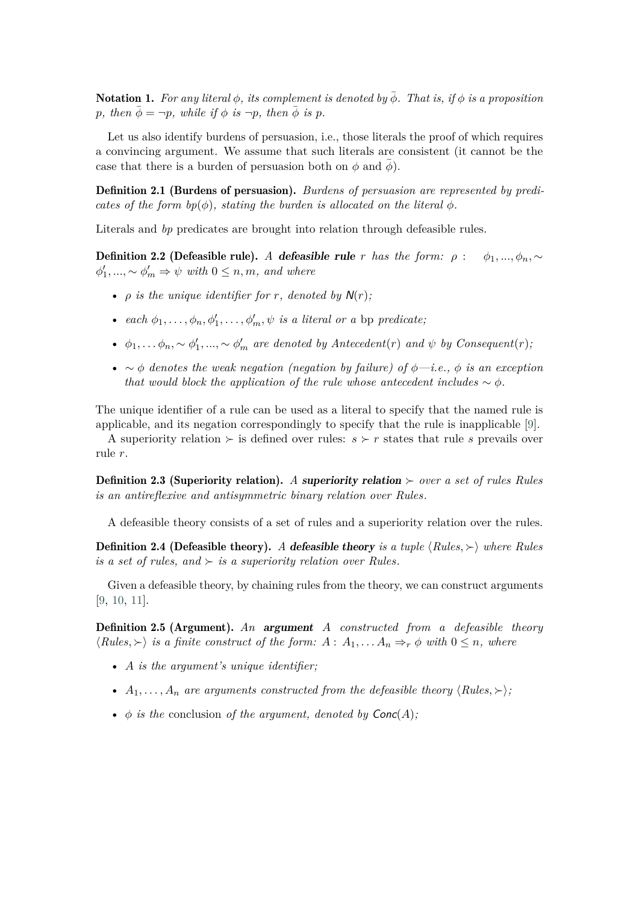Notation 1. For any literal  $\phi$ , its complement is denoted by  $\overline{\phi}$ . That is, if  $\phi$  is a proposition *p*, then  $\bar{\phi} = \neg p$ , while if  $\phi$  is  $\neg p$ , then  $\bar{\phi}$  is p.

Let us also identify burdens of persuasion, i.e., those literals the proof of which requires a convincing argument. We assume that such literals are consistent (it cannot be the case that there is a burden of persuasion both on  $\phi$  and  $\phi$ ).

Definition 2.1 (Burdens of persuasion). *Burdens of persuasion are represented by predicates of the form*  $bp(\phi)$ *, stating the burden is allocated on the literal*  $\phi$ .

Literals and *bp* predicates are brought into relation through defeasible rules.

Definition 2.2 (Defeasible rule). *A* defeasible rule *r* has the form:  $\rho$  :  $\phi_1, ..., \phi_n$ , ∼  $\phi'_1, ..., \sim \phi'_m \Rightarrow \psi$  with  $0 \leq n, m$ , and where

- $\rho$  *is the unique identifier for r*, *denoted by*  $N(r)$ ;
- *each*  $\phi_1, \ldots, \phi_n, \phi'_1, \ldots, \phi'_m, \psi$  *is a literal or a* bp *predicate*;
- $\phi_1, \ldots, \phi_n, \sim \phi'_1, \ldots, \sim \phi'_m$  are denoted by Antecedent(r) and  $\psi$  by Consequent(r);
- ∼ *denotes the weak negation (negation by failure) of —i.e., is an exception that would block the application of the rule whose antecedent includes*  $\sim \phi$ .

The unique identifier of a rule can be used as a literal to specify that the named rule is applicable, and its negation correspondingly to specify that the rule is inapplicable [\[9\]](#page-15-7).

A superiority relation  $\succ$  is defined over rules:  $s \succ r$  states that rule s prevails over rule r.

Definition 2.3 (Superiority relation). *A* superiority relation ≻ *over a set of rules Rules is an antireflexive and antisymmetric binary relation over Rules.*

A defeasible theory consists of a set of rules and a superiority relation over the rules.

**Definition 2.4 (Defeasible theory).** A defeasible theory *is a tuple*  $\langle Rules, \rangle$  *where Rules is a set of rules, and*  $\succ$  *is a superiority relation over Rules.* 

Given a defeasible theory, by chaining rules from the theory, we can construct arguments [\[9,](#page-15-7) [10,](#page-15-8) [11\]](#page-15-9).

<span id="page-2-0"></span>Definition 2.5 (Argument). *An* argument *constructed from a defeasible theory*  $\langle Rules, \rangle$  *is a finite construct of the form:*  $A : A_1, \ldots, A_n \Rightarrow_r \phi$  with  $0 \leq n$ , where

- *is the argument's unique identifier;*
- $A_1, \ldots, A_n$  are arguments constructed from the defeasible theory  $\langle Rules, \rangle$ ;
- $\phi$  *is the* conclusion *of the argument, denoted by*  $Conc(A)$ ;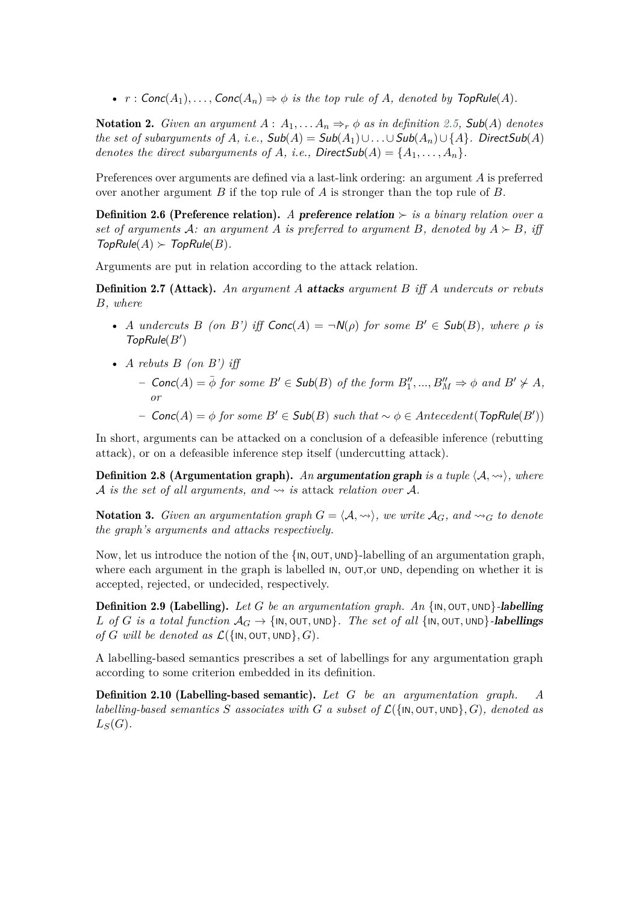•  $r : \text{Conc}(A_1), \ldots, \text{Conc}(A_n) \Rightarrow \phi$  *is the top rule of A, denoted by*  $\text{TopRule}(A)$ *.* 

<span id="page-3-0"></span>**Notation 2.** *Given an argument*  $A: A_1, \ldots, A_n \Rightarrow_r \phi$  *as in definition* [2.5,](#page-2-0) **Sub**(A) *denotes the set of subarguments of A, i.e.,*  $\mathsf{Sub}(A) = \mathsf{Sub}(A_1) \cup \ldots \cup \mathsf{Sub}(A_n) \cup \{A\}$ . DirectSub(A) *denotes the direct subarguments of A, i.e., DirectSub*( $A$ ) = { $A_1, \ldots, A_n$  }.

Preferences over arguments are defined via a last-link ordering: an argument  $A$  is preferred over another argument  $B$  if the top rule of  $A$  is stronger than the top rule of  $B$ .

**Definition 2.6 (Preference relation).** *A* preference relation ≻ *is a binary relation over a set of arguments*  $\mathcal{A}$ : an argument  $\mathcal{A}$  is preferred to argument  $\mathcal{B}$ , denoted by  $\mathcal{A} \succ \mathcal{B}$ , iff  $TopRule(A) \succ TopRule(B)$ .

Arguments are put in relation according to the attack relation.

**Definition 2.7 (Attack).** An argument A **attacks** argument B iff A undercuts or rebuts *, where*

- A undercuts  $B$  (on  $B'$ ) iff  $Conc(A) = \neg N(\rho)$  for some  $B' \in Sub(B)$ , where  $\rho$  is  $TopRule(B')$
- <span id="page-3-1"></span>• A rebuts  $B$  (on  $B'$ ) iff
	- $-$  Conc(A) =  $\bar{\phi}$  for some  $B' \in Sub(B)$  of the form  $B''_1, ..., B''_M \Rightarrow \phi$  and  $B' \not\succ A$ , *or*
	- $-$  Conc(A) =  $\phi$  for some  $B' \in Sub(B)$  such that  $\sim \phi \in Antecedent(TopRule(B'))$

In short, arguments can be attacked on a conclusion of a defeasible inference (rebutting attack), or on a defeasible inference step itself (undercutting attack).

**Definition 2.8 (Argumentation graph).** An argumentation graph is a tuple  $\langle A, \leadsto \rangle$ , where *A is the set of all arguments, and*  $\rightsquigarrow$  *is attack relation over A*.

**Notation 3.** *Given an argumentation graph*  $G = \langle A, \leadsto \rangle$ *, we write*  $A_G$ *, and*  $\leadsto_G$  to denote *the graph's arguments and attacks respectively.*

<span id="page-3-2"></span>Now, let us introduce the notion of the  $\{IN, OUT, UND\}$ -labelling of an argumentation graph, where each argument in the graph is labelled IN, OUT,or UND, depending on whether it is accepted, rejected, or undecided, respectively.

Definition 2.9 (Labelling). *Let be an argumentation graph. An* {IN*,* OUT*,* UND}*-*labelling  $L$  *of*  $G$  *is a total function*  $A_G \rightarrow \{\text{IN}, \text{OUT}, \text{UND}\}$ *. The set of all*  $\{\text{IN}, \text{OUT}, \text{UND}\}$ *-labellings*  $of$   $G$  will be denoted as  $\mathcal{L}(\{\text{IN}, \text{OUT}, \text{UND}\}, G)$ .

<span id="page-3-3"></span>A labelling-based semantics prescribes a set of labellings for any argumentation graph according to some criterion embedded in its definition.

Definition 2.10 (Labelling-based semantic). *Let be an argumentation graph. A labelling-based semantics*  $S$  associates with  $G$  a subset of  $\mathcal{L}(\{\mathsf{IN}, \mathsf{OUT}, \mathsf{UND}\}, G)$ , denoted as  $L_S(G)$ .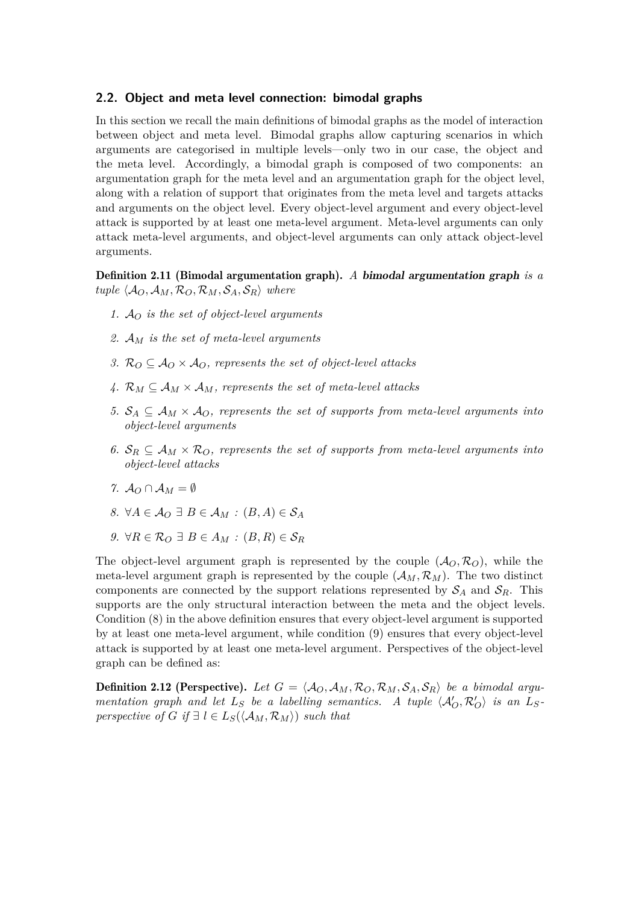#### <span id="page-4-0"></span>**2.2. Object and meta level connection: bimodal graphs**

In this section we recall the main definitions of bimodal graphs as the model of interaction between object and meta level. Bimodal graphs allow capturing scenarios in which arguments are categorised in multiple levels—only two in our case, the object and the meta level. Accordingly, a bimodal graph is composed of two components: an argumentation graph for the meta level and an argumentation graph for the object level, along with a relation of support that originates from the meta level and targets attacks and arguments on the object level. Every object-level argument and every object-level attack is supported by at least one meta-level argument. Meta-level arguments can only attack meta-level arguments, and object-level arguments can only attack object-level arguments.

<span id="page-4-1"></span>Definition 2.11 (Bimodal argumentation graph). *A* bimodal argumentation graph *is a*  $tuple \langle A_O, A_M, R_O, R_M, S_A, S_R \rangle$  where

- *1. is the set of object-level arguments*
- *2. is the set of meta-level arguments*
- *3.*  $\mathcal{R}_O \subseteq \mathcal{A}_O \times \mathcal{A}_O$ , represents the set of object-level attacks
- 4.  $\mathcal{R}_M \subseteq \mathcal{A}_M \times \mathcal{A}_M$ , represents the set of meta-level attacks
- *5.*  $S_A \subseteq A_M \times A_O$ , represents the set of supports from meta-level arguments into *object-level arguments*
- 6.  $S_R \subseteq A_M \times R_O$ , represents the set of supports from meta-level arguments into *object-level attacks*
- *7.*  $A_0 \cap A_M = \emptyset$
- *8.*  $\forall A \in \mathcal{A}_O \exists B \in \mathcal{A}_M : (B, A) \in \mathcal{S}_A$
- *9.*  $\forall R \in \mathcal{R}_O \exists B \in A_M : (B, R) \in \mathcal{S}_R$

The object-level argument graph is represented by the couple  $(\mathcal{A}_{\mathcal{O}}, \mathcal{R}_{\mathcal{O}})$ , while the meta-level argument graph is represented by the couple  $(\mathcal{A}_M, \mathcal{R}_M)$ . The two distinct components are connected by the support relations represented by  $S_A$  and  $S_R$ . This supports are the only structural interaction between the meta and the object levels. Condition (8) in the above definition ensures that every object-level argument is supported by at least one meta-level argument, while condition (9) ensures that every object-level attack is supported by at least one meta-level argument. Perspectives of the object-level graph can be defined as:

**Definition 2.12 (Perspective).** Let  $G = \langle A_O, A_M, R_O, R_M, S_A, S_R \rangle$  be a bimodal argu*mentation graph and let*  $L_S$  *be a labelling semantics.* A tuple  $\langle A'_O, R'_O \rangle$  *is an*  $L_S$ *perspective of*  $G$  *if*  $\exists$   $l \in L_S(\langle A_M, R_M \rangle)$  *such that*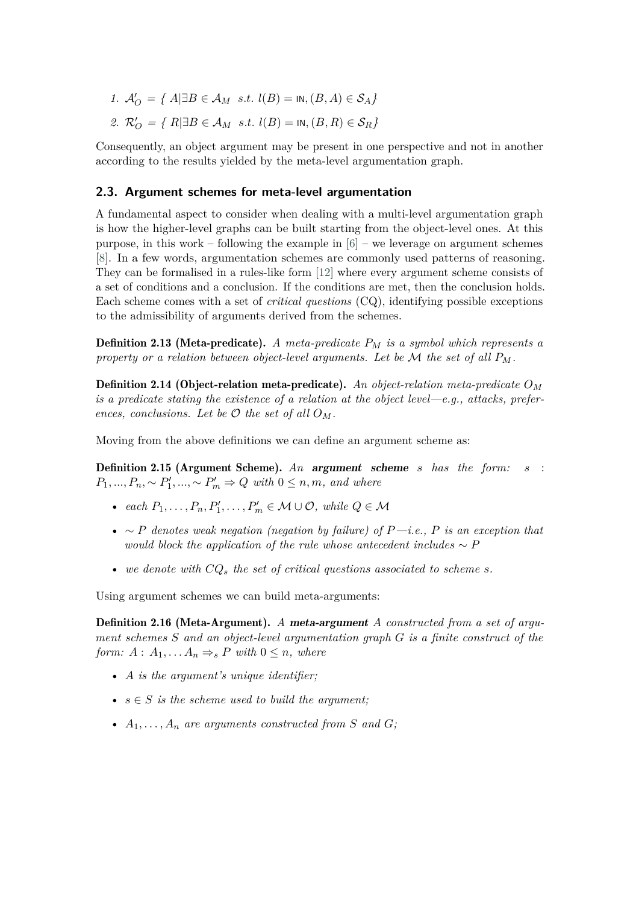- *1.*  $\mathcal{A}'_O$  = { $A$   $\exists B \in \mathcal{A}_M$  *s.t.*  $l(B) = \text{IN}, (B, A) \in \mathcal{S}_A$ }
- *2.*  $\mathcal{R}'_O$  = {  $R$   $\exists B \in \mathcal{A}_M$  *s.t.*  $l(B) =$  in,  $(B, R) \in \mathcal{S}_R$ }

Consequently, an object argument may be present in one perspective and not in another according to the results yielded by the meta-level argumentation graph.

#### <span id="page-5-0"></span>**2.3. Argument schemes for meta-level argumentation**

A fundamental aspect to consider when dealing with a multi-level argumentation graph is how the higher-level graphs can be built starting from the object-level ones. At this purpose, in this work – following the example in  $[6]$  – we leverage on argument schemes [\[8\]](#page-15-6). In a few words, argumentation schemes are commonly used patterns of reasoning. They can be formalised in a rules-like form [\[12\]](#page-16-0) where every argument scheme consists of a set of conditions and a conclusion. If the conditions are met, then the conclusion holds. Each scheme comes with a set of *critical questions* (CQ), identifying possible exceptions to the admissibility of arguments derived from the schemes.

Definition 2.13 (Meta-predicate). *A meta-predicate is a symbol which represents a property or a relation between object-level arguments. Let be*  $M$  *the set of all*  $P_M$ .

Definition 2.14 (Object-relation meta-predicate). *An object-relation meta-predicate is a predicate stating the existence of a relation at the object level—e.g., attacks, preferences, conclusions. Let be*  $\mathcal O$  *the set of all*  $O_M$ *.* 

Moving from the above definitions we can define an argument scheme as:

Definition 2.15 (Argument Scheme). *An* argument scheme *has the form:* :  $P_1, ..., P_n, \sim P'_1, ..., \sim P'_m \Rightarrow Q \text{ with } 0 \leq n, m, \text{ and where}$ 

- *each*  $P_1, \ldots, P_n, P'_1, \ldots, P'_m \in \mathcal{M} \cup \mathcal{O}$ , while  $Q \in \mathcal{M}$
- ∼ *denotes weak negation (negation by failure) of —i.e., is an exception that would block the application of the rule whose antecedent includes* ∼
- we denote with  $CQ_s$  the set of critical questions associated to scheme *s*.

Using argument schemes we can build meta-arguments:

**Definition 2.16 (Meta-Argument).** A meta-argument A constructed from a set of argu*ment schemes and an object-level argumentation graph is a finite construct of the form:*  $A: A_1, \ldots, A_n \Rightarrow_s P \text{ with } 0 \leq n, \text{ where }$ 

- *A is the argument's unique identifier:*
- $s \in S$  *is the scheme used to build the argument:*
- $A_1, \ldots, A_n$  are arguments constructed from S and G;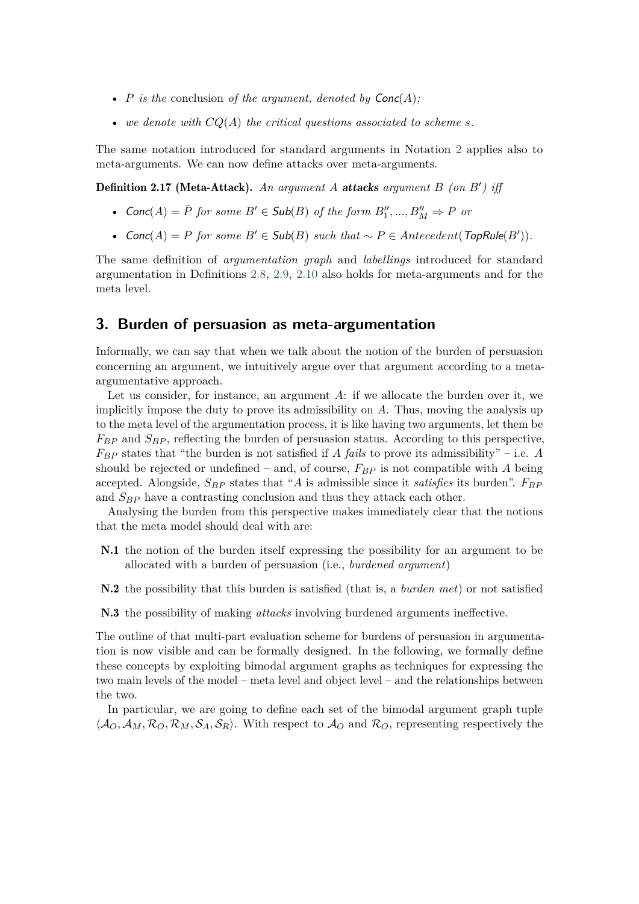- $P$  is the conclusion of the argument, denoted by  $Conc(A)$ ;
- we denote with  $CQ(A)$  the critical questions associated to scheme *s*.

The same notation introduced for standard arguments in Notation [2](#page-3-0) applies also to meta-arguments. We can now define attacks over meta-arguments.

Definition 2.17 (Meta-Attack). An argument A attacks argument B (on B') iff

- $Conc(A) = \overline{P}$  *for some*  $B' \in Sub(B)$  *of the form*  $B''_1, ..., B''_M \Rightarrow P$  *or*
- $Conc(A) = P$  for some  $B' \in Sub(B)$  such that  $\sim P \in Antecedent(TopRule(B')).$

The same definition of *argumentation graph* and *labellings* introduced for standard argumentation in Definitions [2.8,](#page-3-1) [2.9,](#page-3-2) [2.10](#page-3-3) also holds for meta-arguments and for the meta level.

#### <span id="page-6-0"></span>**3. Burden of persuasion as meta-argumentation**

Informally, we can say that when we talk about the notion of the burden of persuasion concerning an argument, we intuitively argue over that argument according to a metaargumentative approach.

Let us consider, for instance, an argument  $A$ : if we allocate the burden over it, we implicitly impose the duty to prove its admissibility on  $A$ . Thus, moving the analysis up to the meta level of the argumentation process, it is like having two arguments, let them be  $F_{BP}$  and  $S_{BP}$ , reflecting the burden of persuasion status. According to this perspective,  $F_{BP}$  states that "the burden is not satisfied if *A fails* to prove its admissibility" – i.e. *A* should be rejected or undefined – and, of course,  $F_{BP}$  is not compatible with A being accepted. Alongside,  $S_{BP}$  states that "A is admissible since it *satisfies* its burden".  $F_{BP}$ and  $S_{BP}$  have a contrasting conclusion and thus they attack each other.

Analysing the burden from this perspective makes immediately clear that the notions that the meta model should deal with are:

- <span id="page-6-1"></span>N.1 the notion of the burden itself expressing the possibility for an argument to be allocated with a burden of persuasion (i.e., *burdened argument*)
- <span id="page-6-2"></span>N.2 the possibility that this burden is satisfied (that is, a *burden met*) or not satisfied

<span id="page-6-3"></span>N.3 the possibility of making *attacks* involving burdened arguments ineffective.

The outline of that multi-part evaluation scheme for burdens of persuasion in argumentation is now visible and can be formally designed. In the following, we formally define these concepts by exploiting bimodal argument graphs as techniques for expressing the two main levels of the model – meta level and object level – and the relationships between the two.

In particular, we are going to define each set of the bimodal argument graph tuple  $\langle A_O, A_M, R_O, R_M, S_A, S_R \rangle$ . With respect to  $A_O$  and  $R_O$ , representing respectively the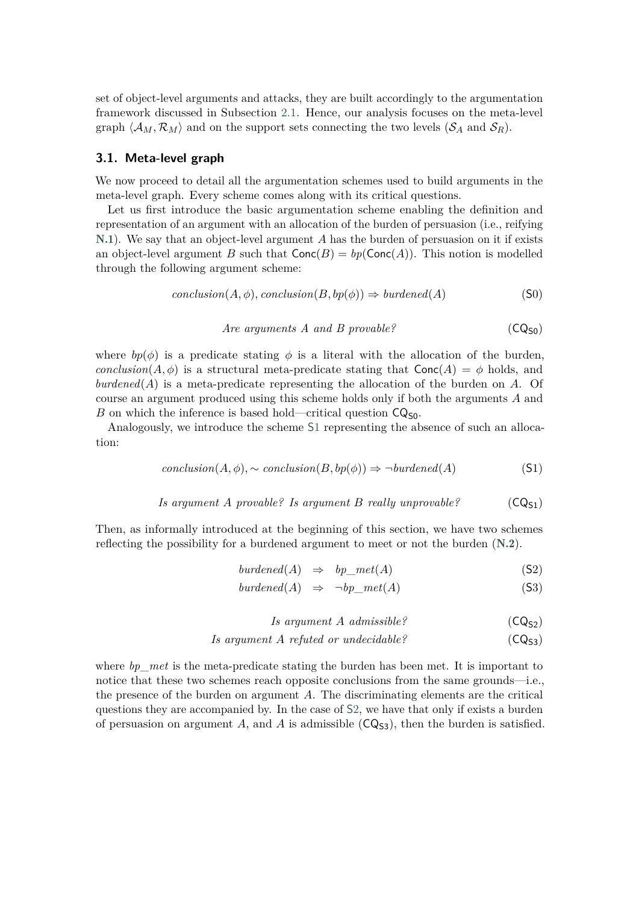set of object-level arguments and attacks, they are built accordingly to the argumentation framework discussed in Subsection [2.1.](#page-1-1) Hence, our analysis focuses on the meta-level graph  $\langle A_M, \mathcal{R}_M \rangle$  and on the support sets connecting the two levels  $(\mathcal{S}_A$  and  $\mathcal{S}_R)$ .

#### <span id="page-7-2"></span>**3.1. Meta-level graph**

We now proceed to detail all the argumentation schemes used to build arguments in the meta-level graph. Every scheme comes along with its critical questions.

Let us first introduce the basic argumentation scheme enabling the definition and representation of an argument with an allocation of the burden of persuasion (i.e., reifying [N.1](#page-6-1)). We say that an object-level argument  $A$  has the burden of persuasion on it if exists an object-level argument B such that  $Conc(B) = bpConc(A))$ . This notion is modelled through the following argument scheme:

<span id="page-7-3"></span>
$$
conclusion(A, \phi), conclusion(B, bp(\phi)) \Rightarrow burdened(A)
$$
 (S0)

*Are arguments A and B provable?* 
$$
(CQ_{S0})
$$

where  $bp(\phi)$  is a predicate stating  $\phi$  is a literal with the allocation of the burden, *conclusion*( $A, \phi$ ) is a structural meta-predicate stating that  $Conc(A) = \phi$  holds, and  $burdened(A)$  is a meta-predicate representing the allocation of the burden on  $A$ . Of course an argument produced using this scheme holds only if both the arguments  $A$  and B on which the inference is based hold—critical question  $CQ_{50}$ .

Analogously, we introduce the scheme [S](#page-7-0)1 representing the absence of such an allocation:

<span id="page-7-0"></span>
$$
conclusion(A, \phi), \sim conclusion(B, bp(\phi)) \Rightarrow \neg burdened(A)
$$
 (S1)

Is argument A provable? Is argument B really unprovable? 
$$
(CQ_{S1})
$$

Then, as informally introduced at the beginning of this section, we have two schemes reflecting the possibility for a burdened argument to meet or not the burden ([N.2](#page-6-2)).

<span id="page-7-1"></span>
$$
burdened(A) \Rightarrow bp\_met(A) \tag{S2}
$$

$$
burdened(A) \Rightarrow \neg bp\_met(A) \tag{S3}
$$

$$
Is argument A admissible? \qquad (CQ_{S2})
$$

*Is argument A refuted or undecidable?* 
$$
(CQ_{53})
$$

where *bp*<sub>met</sub> is the meta-predicate stating the burden has been met. It is important to notice that these two schemes reach opposite conclusions from the same grounds—i.e., the presence of the burden on argument  $A$ . The discriminating elements are the critical questions they are accompanied by. In the case of [S](#page-7-1)2, we have that only if exists a burden of persuasion on argument A, and A is admissible  $(CQ_{53})$ , then the burden is satisfied.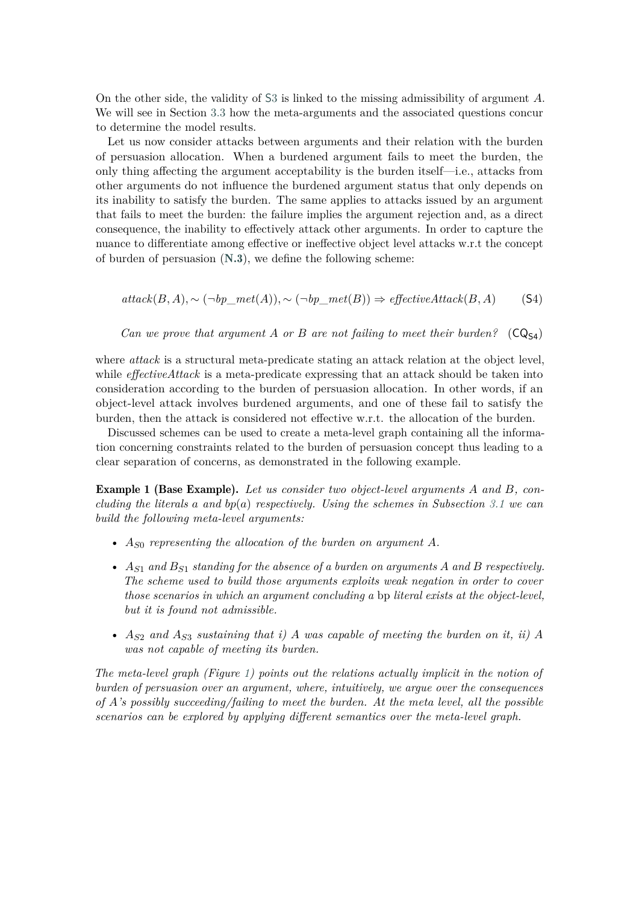On the other side, the validity of  $S3$  $S3$  is linked to the missing admissibility of argument  $\tilde{A}$ . We will see in Section [3.3](#page-10-0) how the meta-arguments and the associated questions concur to determine the model results.

Let us now consider attacks between arguments and their relation with the burden of persuasion allocation. When a burdened argument fails to meet the burden, the only thing affecting the argument acceptability is the burden itself—i.e., attacks from other arguments do not influence the burdened argument status that only depends on its inability to satisfy the burden. The same applies to attacks issued by an argument that fails to meet the burden: the failure implies the argument rejection and, as a direct consequence, the inability to effectively attack other arguments. In order to capture the nuance to differentiate among effective or ineffective object level attacks w.r.t the concept of burden of persuasion ([N.3](#page-6-3)), we define the following scheme:

<span id="page-8-1"></span> $attack(B, A), \sim (\neg bp\_met(A)), \sim (\neg bp\_met(B)) \Rightarrow effectiveAttack(B, A)$  (S4)

*Can we prove that argument* A or B are not failing to meet their burden?  $(CQ_{54})$ 

where *attack* is a structural meta-predicate stating an attack relation at the object level, while *effectiveAttack* is a meta-predicate expressing that an attack should be taken into consideration according to the burden of persuasion allocation. In other words, if an object-level attack involves burdened arguments, and one of these fail to satisfy the burden, then the attack is considered not effective w.r.t. the allocation of the burden.

Discussed schemes can be used to create a meta-level graph containing all the information concerning constraints related to the burden of persuasion concept thus leading to a clear separation of concerns, as demonstrated in the following example.

<span id="page-8-0"></span>**Example 1 (Base Example).** Let us consider two object-level arguments A and B, con*cluding the literals* a and  $bp(a)$  *respectively. Using the schemes in Subsection* [3.1](#page-7-2) *we can build the following meta-level arguments:*

- $A_{S0}$  representing the allocation of the burden on argument  $A$ .
- $A_{S1}$  and  $B_{S1}$  standing for the absence of a burden on arguments A and B respectively. *The scheme used to build those arguments exploits weak negation in order to cover those scenarios in which an argument concluding a* bp *literal exists at the object-level, but it is found not admissible.*
- $A_{S2}$  and  $A_{S3}$  sustaining that i) A was capable of meeting the burden on it, ii) A *was not capable of meeting its burden.*

*The meta-level graph (Figure [1\)](#page-9-0) points out the relations actually implicit in the notion of burden of persuasion over an argument, where, intuitively, we argue over the consequences of 's possibly succeeding/failing to meet the burden. At the meta level, all the possible scenarios can be explored by applying different semantics over the meta-level graph.*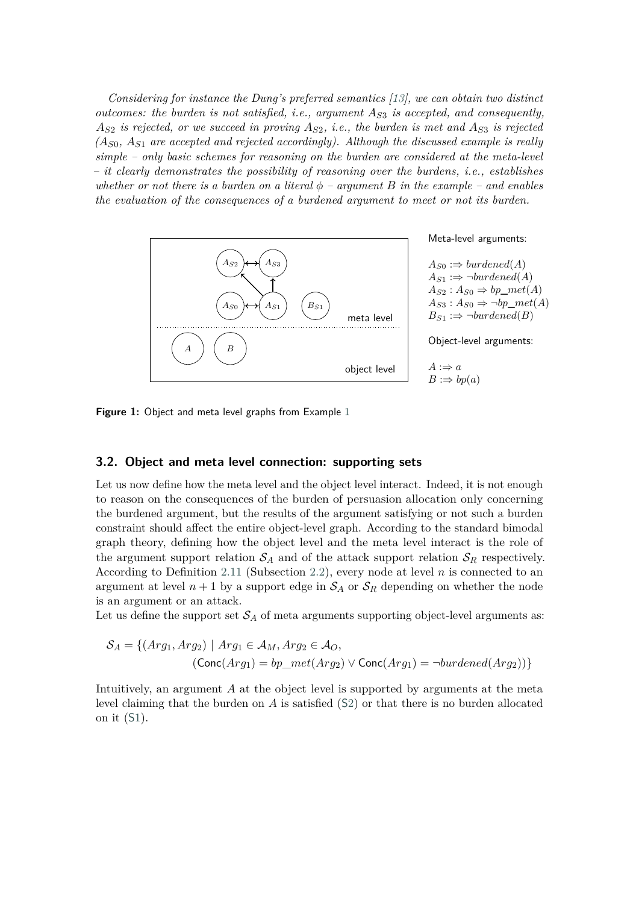*Considering for instance the Dung's preferred semantics [\[13\]](#page-16-1), we can obtain two distinct outcomes: the burden is not satisfied, i.e., argument*  $A_{S3}$  *is accepted, and consequently,*  $A_{S2}$  is rejected, or we succeed in proving  $A_{S2}$ , *i.e.*, the burden is met and  $A_{S3}$  is rejected  $(A_{S0}, A_{S1}$  are accepted and rejected accordingly). Although the discussed example is really *simple – only basic schemes for reasoning on the burden are considered at the meta-level – it clearly demonstrates the possibility of reasoning over the burdens, i.e., establishes* whether or not there is a burden on a literal  $\phi$  – argument  $B$  in the example – and enables *the evaluation of the consequences of a burdened argument to meet or not its burden.*



<span id="page-9-0"></span>**Figure 1:** Object and meta level graphs from Example [1](#page-8-0)

#### **3.2. Object and meta level connection: supporting sets**

Let us now define how the meta level and the object level interact. Indeed, it is not enough to reason on the consequences of the burden of persuasion allocation only concerning the burdened argument, but the results of the argument satisfying or not such a burden constraint should affect the entire object-level graph. According to the standard bimodal graph theory, defining how the object level and the meta level interact is the role of the argument support relation  $S_A$  and of the attack support relation  $S_R$  respectively. According to Definition [2.11](#page-4-1) (Subsection [2.2\)](#page-4-0), every node at level  $n$  is connected to an argument at level  $n+1$  by a support edge in  $S_A$  or  $S_R$  depending on whether the node is an argument or an attack.

Let us define the support set  $S_A$  of meta arguments supporting object-level arguments as:

$$
S_A = \{(Arg_1, Arg_2) \mid Arg_1 \in A_M, Arg_2 \in A_O, \newline (\text{Conc}(Arg_1) = bp\_met(Arg_2) \lor \text{Conc}(Arg_1) = \neg burdened(Arg_2))\}
$$

Intuitively, an argument  $A$  at the object level is supported by arguments at the meta level claiming that the burden on  $A$  is satisfied  $(S2)$  $(S2)$  or that there is no burden allocated on it (S[1\)](#page-7-0).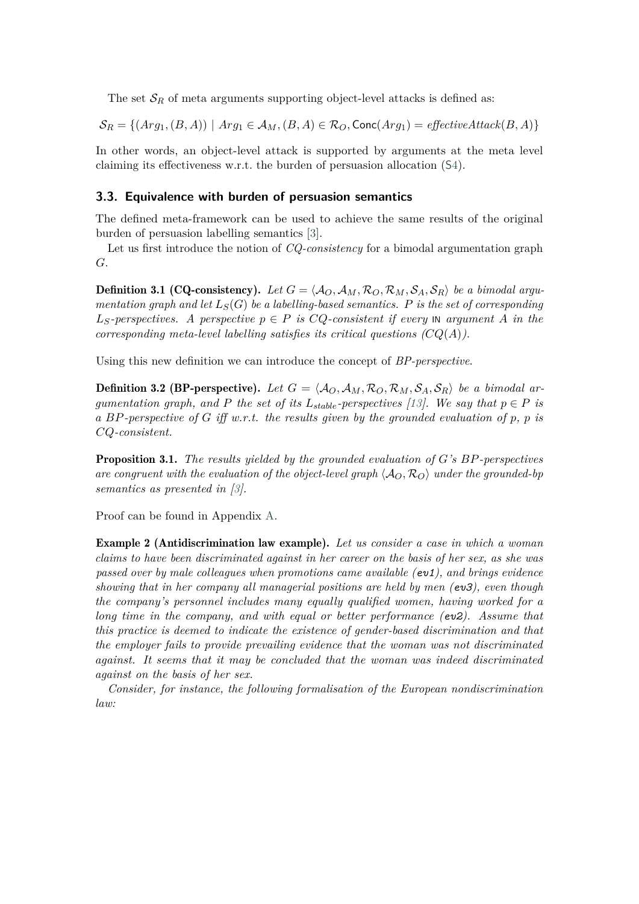The set  $S_R$  of meta arguments supporting object-level attacks is defined as:

$$
\mathcal{S}_R = \{ (Arg_1, (B, A)) \mid Arg_1 \in \mathcal{A}_M, (B, A) \in \mathcal{R}_O, \text{Conc}(Arg_1) = \text{effective} \text{Attack}(B, A) \}
$$

In other words, an object-level attack is supported by arguments at the meta level claiming its effectiveness w.r.t. the burden of persuasion allocation (S[4\)](#page-8-1).

#### <span id="page-10-0"></span>**3.3. Equivalence with burden of persuasion semantics**

The defined meta-framework can be used to achieve the same results of the original burden of persuasion labelling semantics [\[3\]](#page-15-1).

Let us first introduce the notion of *CQ-consistency* for a bimodal argumentation graph  $G$ .

**Definition 3.1 (CQ-consistency).** Let  $G = \langle A_O, A_M, R_O, R_M, S_A, S_R \rangle$  be a bimodal argu*mentation graph and let*  $L_S(G)$  *be a labelling-based semantics.* P is the set of corresponding  $L<sub>S</sub>$ -perspectives. A perspective  $p \in P$  is  $CQ$ -consistent if every  $N$  argument A in the *corresponding meta-level labelling satisfies its critical questions*  $(CQ(A))$ *.* 

Using this new definition we can introduce the concept of *BP-perspective*.

**Definition 3.2 (BP-perspective).** Let  $G = \langle A_O, A_M, R_O, R_M, S_A, S_R \rangle$  be a bimodal ar*gumentation graph, and*  $P$  the set of its  $L_{stable}$ -perspectives [\[13\]](#page-16-1). We say that  $p \in P$  is a *BP*-perspective of G iff w.r.t. the results given by the grounded evaluation of  $p$ ,  $p$  is *-consistent.*

**Proposition 3.1.** *The results yielded by the grounded evaluation of G's BP-perspectives are congruent with the evaluation of the object-level graph*  $\langle A_O, R_O \rangle$  *under the grounded-bp semantics as presented in [\[3\]](#page-15-1).*

<span id="page-10-1"></span>Proof can be found in Appendix [A.](#page-17-0)

Example 2 (Antidiscrimination law example). *Let us consider a case in which a woman claims to have been discriminated against in her career on the basis of her sex, as she was passed over by male colleagues when promotions came available (ev1), and brings evidence showing that in her company all managerial positions are held by men (ev3), even though the company's personnel includes many equally qualified women, having worked for a long time in the company, and with equal or better performance (ev2). Assume that this practice is deemed to indicate the existence of gender-based discrimination and that the employer fails to provide prevailing evidence that the woman was not discriminated against. It seems that it may be concluded that the woman was indeed discriminated against on the basis of her sex.*

*Consider, for instance, the following formalisation of the European nondiscrimination law:*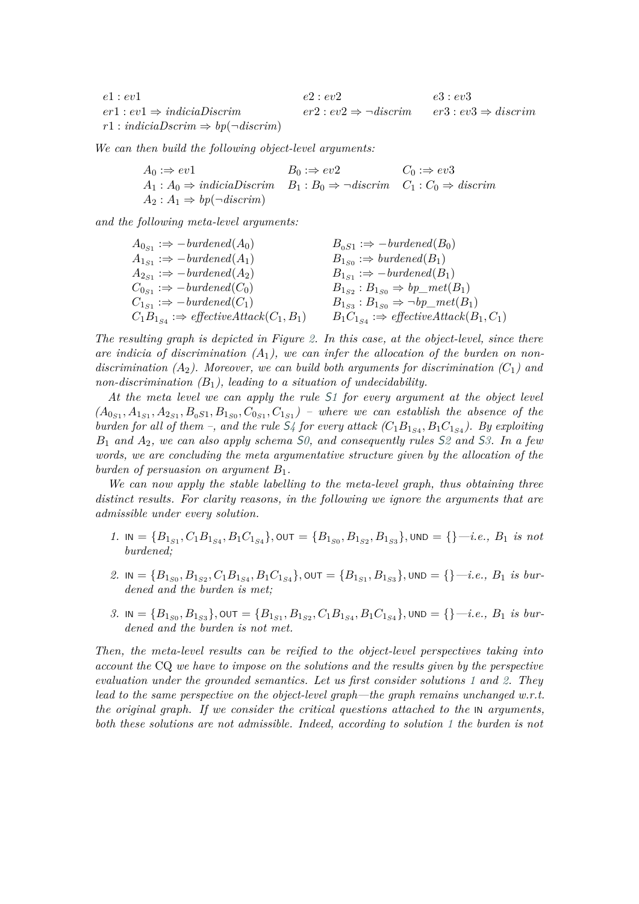| e1 : ev1                                          | e2 : ev2                                                                    | e3 : ev3 |
|---------------------------------------------------|-----------------------------------------------------------------------------|----------|
| $er1 : ev1 \Rightarrow indicialDiscrim$           | $er2: ev2 \Rightarrow \neg discrimin \qquad er3: ev3 \Rightarrow discrimin$ |          |
| $r1: indicialDscrim \Rightarrow bp(\neg discrim)$ |                                                                             |          |

*We can then build the following object-level arguments:*

| $A_0 :\Rightarrow ev1$                                                                                            | $B_0 \Rightarrow ev2$ | $C_0 :\Rightarrow ev3$ |
|-------------------------------------------------------------------------------------------------------------------|-----------------------|------------------------|
| $A_1: A_0 \Rightarrow indicialDiscrim \quad B_1: B_0 \Rightarrow \neg discrim \quad C_1: C_0 \Rightarrow discrim$ |                       |                        |
| $A_2: A_1 \Rightarrow bp(\neg discrimin)$                                                                         |                       |                        |

*and the following meta-level arguments:*

| $A_{0s_1} \Rightarrow -burdened(A_0)$                     | $B_{0S1} \Rightarrow -burdened(B_0)$                      |
|-----------------------------------------------------------|-----------------------------------------------------------|
| $A_{1s_1} \Rightarrow -burdened(A_1)$                     | $B_{1s_0} \Rightarrow \text{burdened}(B_1)$               |
| $A_{2s_1} \Rightarrow -burdened(A_2)$                     | $B_{1s_1} \Rightarrow$ -burdened( $B_1$ )                 |
| $C_{0s_1} \Rightarrow -burdened(C_0)$                     | $B_{1_{S2}}: B_{1_{S0}} \Rightarrow bp\_met(B_1)$         |
| $C_{1_{S_1}} \Rightarrow -burdened(C_1)$                  | $B_{1_{S3}}$ : $B_{1_{S0}} \Rightarrow \neg bp\_met(B_1)$ |
| $C_1B_{1_{S4}} \Rightarrow$ effective Attack $(C_1, B_1)$ | $B_1C_{1,s_4} \Rightarrow$ effective Attack $(B_1, C_1)$  |

*The resulting graph is depicted in Figure [2.](#page-12-1) In this case, at the object-level, since there* are indicia of discrimination  $(A_1)$ , we can infer the allocation of the burden on nondiscrimination  $(A_2)$ . Moreover, we can build both arguments for discrimination  $(C_1)$  and *non-discrimination*  $(B_1)$ , *leading to a situation of undecidability.* 

*At the meta level we can apply the rule* [S](#page-7-0)*1 for every argument at the object level*  $(A_{0S_1}, A_{1S_1}, A_{2S_1}, B_{0S_1}, B_{1S_0}, C_{0S_1}, C_{1S_1})$  – where we can establish the absence of the *burden for all of them –, and the rule*  $S_4$  $S_4$  *for every attack*  $(C_1B_{1_{S4}}, B_1C_{1_{S4}})$ . By exploiting <sup>1</sup> *and* 2*, we can also apply schema* S*[0,](#page-7-3) and consequently rules* [S](#page-7-1)*2 and* S*[3.](#page-7-1) In a few words, we are concluding the meta argumentative structure given by the allocation of the burden of persuasion on argument*  $B_1$ .

*We can now apply the stable labelling to the meta-level graph, thus obtaining three distinct results. For clarity reasons, in the following we ignore the arguments that are admissible under every solution.*

- <span id="page-11-0"></span> $1.$  In  $=\{B_{1_{S1}}, C_1B_{1_{S4}}, B_1C_{1_{S4}}\}, \text{out} = \{B_{1_{S0}}, B_{1_{S2}}, B_{1_{S3}}\}, \text{und} = \{\}-i.e., B_1 \text{ is not }$ *burdened;*
- <span id="page-11-1"></span> $2. \text{ IN} = \{B_{1_{S0}}, B_{1_{S2}}, C_1B_{1_{S4}}, B_1C_{1_{S4}}\}, \text{OUT} = \{B_{1_{S1}}, B_{1_{S3}}\}, \text{UND} = \{\} - i.e., B_1 \text{ is bur-}$ *dened and the burden is met;*
- <span id="page-11-2"></span> $3. \text{ IN} = \{B_{1_{S0}}, B_{1_{S3}}\}, \text{OUT} = \{B_{1_{S1}}, B_{1_{S2}}, C_1B_{1_{S4}}, B_1C_{1_{S4}}\}, \text{UND} = \{\} - i.e., B_1 \text{ is bur-}$ *dened and the burden is not met.*

*Then, the meta-level results can be reified to the object-level perspectives taking into account the* CQ *we have to impose on the solutions and the results given by the perspective evaluation under the grounded semantics. Let us first consider solutions [1](#page-11-0) and [2.](#page-11-1) They lead to the same perspective on the object-level graph—the graph remains unchanged w.r.t. the original graph. If we consider the critical questions attached to the* IN *arguments*, *both these solutions are not admissible. Indeed, according to solution [1](#page-11-0) the burden is not*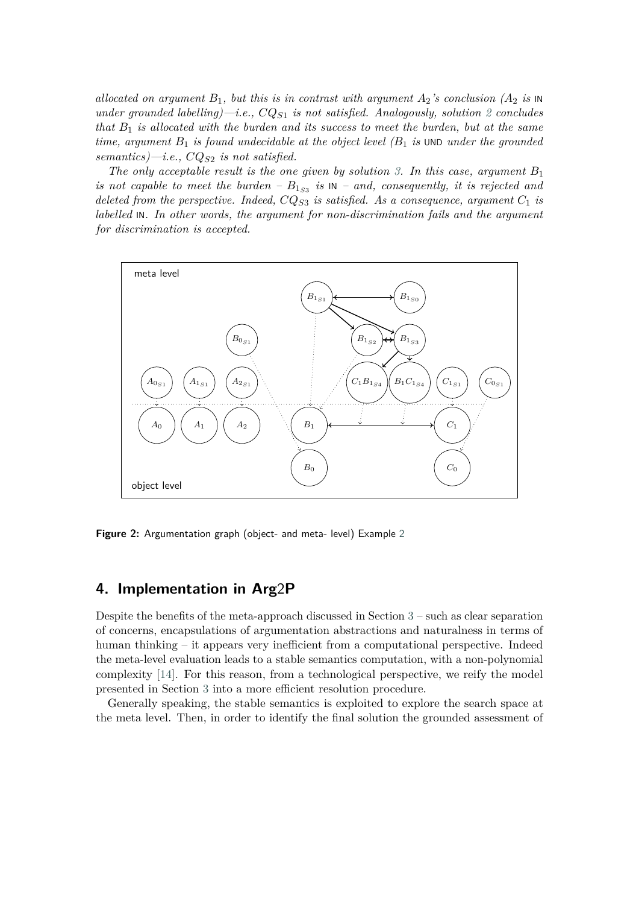*allocated on argument*  $B_1$ , but this is in contrast with argument  $A_2$ 's conclusion  $(A_2$  is  $\mathbb{N}$ *under grounded labelling*)—*i.e.,*  $CQ_{S1}$  *is not satisfied. Analogously, solution* [2](#page-11-1) *concludes that*  $B_1$  *is allocated with the burden and its success to meet the burden, but at the same time, argument*  $B_1$  *is found undecidable at the object level*  $(B_1$  *is* UND *under the grounded*  $semantics) - i.e., CQ<sub>S2</sub> is not satisfied.$ 

*The only acceptable result is the one given by solution* [3.](#page-11-2) In this case, argument  $B_1$ *is not capable to meet the burden –*  $B_{1_{S3}}$  *is*  $\text{IN}$  – *and, consequently, it is rejected and deleted from the perspective. Indeed,*  $CQ_{S3}$  *is satisfied. As a consequence, argument*  $C_1$  *is labelled* IN*. In other words, the argument for non-discrimination fails and the argument for discrimination is accepted.*



<span id="page-12-1"></span>**Figure 2:** Argumentation graph (object- and meta- level) Example [2](#page-10-1)

# <span id="page-12-0"></span>**4. Implementation in Arg**2**P**

Despite the benefits of the meta-approach discussed in Section [3](#page-6-0) – such as clear separation of concerns, encapsulations of argumentation abstractions and naturalness in terms of human thinking – it appears very inefficient from a computational perspective. Indeed the meta-level evaluation leads to a stable semantics computation, with a non-polynomial complexity [\[14\]](#page-16-2). For this reason, from a technological perspective, we reify the model presented in Section [3](#page-6-0) into a more efficient resolution procedure.

Generally speaking, the stable semantics is exploited to explore the search space at the meta level. Then, in order to identify the final solution the grounded assessment of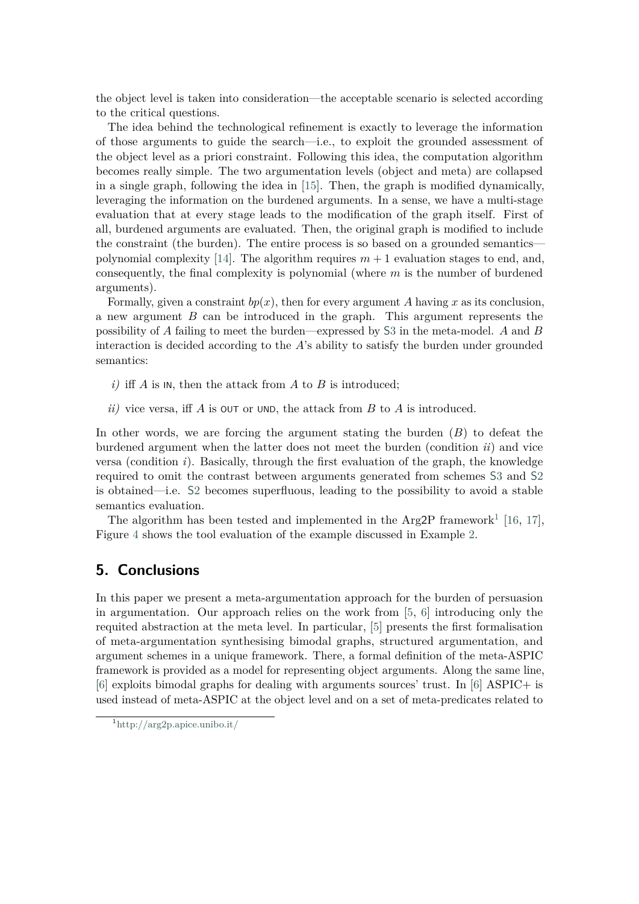the object level is taken into consideration—the acceptable scenario is selected according to the critical questions.

The idea behind the technological refinement is exactly to leverage the information of those arguments to guide the search—i.e., to exploit the grounded assessment of the object level as a priori constraint. Following this idea, the computation algorithm becomes really simple. The two argumentation levels (object and meta) are collapsed in a single graph, following the idea in [\[15\]](#page-16-3). Then, the graph is modified dynamically, leveraging the information on the burdened arguments. In a sense, we have a multi-stage evaluation that at every stage leads to the modification of the graph itself. First of all, burdened arguments are evaluated. Then, the original graph is modified to include the constraint (the burden). The entire process is so based on a grounded semantics— polynomial complexity [\[14\]](#page-16-2). The algorithm requires  $m+1$  evaluation stages to end, and, consequently, the final complexity is polynomial (where  $m$  is the number of burdened arguments).

Formally, given a constraint  $bp(x)$ , then for every argument A having x as its conclusion, a new argument  $B$  can be introduced in the graph. This argument represents the possibility of  $A$  failing to meet the burden—expressed by [S](#page-7-1)3 in the meta-model.  $A$  and  $B$ interaction is decided according to the  $A$ 's ability to satisfy the burden under grounded semantics:

- *i)* iff  $\overline{A}$  is  $\overline{N}$ , then the attack from  $\overline{A}$  to  $\overline{B}$  is introduced;
- *ii)* vice versa, if  $\overline{A}$  is  $\overline{O}$  or  $\overline{O}$  with the attack from  $\overline{B}$  to  $\overline{A}$  is introduced.

In other words, we are forcing the argument stating the burden  $(B)$  to defeat the burdened argument when the latter does not meet the burden (condition *ii*) and vice versa (condition *i*). Basically, through the first evaluation of the graph, the knowledge required to omit the contrast between arguments generated from schemes [S](#page-7-1)3 and [S](#page-7-1)2 is obtained—i.e. [S](#page-7-1)2 becomes superfluous, leading to the possibility to avoid a stable semantics evaluation.

The algorithm has been tested and implemented in the Arg2P framework<sup>[1](#page-13-1)</sup> [\[16,](#page-16-4) [17\]](#page-16-5), Figure [4](#page-12-0) shows the tool evaluation of the example discussed in Example [2.](#page-10-1)

### <span id="page-13-0"></span>**5. Conclusions**

In this paper we present a meta-argumentation approach for the burden of persuasion in argumentation. Our approach relies on the work from [\[5,](#page-15-3) [6\]](#page-15-4) introducing only the requited abstraction at the meta level. In particular, [\[5\]](#page-15-3) presents the first formalisation of meta-argumentation synthesising bimodal graphs, structured argumentation, and argument schemes in a unique framework. There, a formal definition of the meta-ASPIC framework is provided as a model for representing object arguments. Along the same line, [\[6\]](#page-15-4) exploits bimodal graphs for dealing with arguments sources' trust. In [\[6\]](#page-15-4) ASPIC+ is used instead of meta-ASPIC at the object level and on a set of meta-predicates related to

<span id="page-13-1"></span> $1$ <http://arg2p.apice.unibo.it/>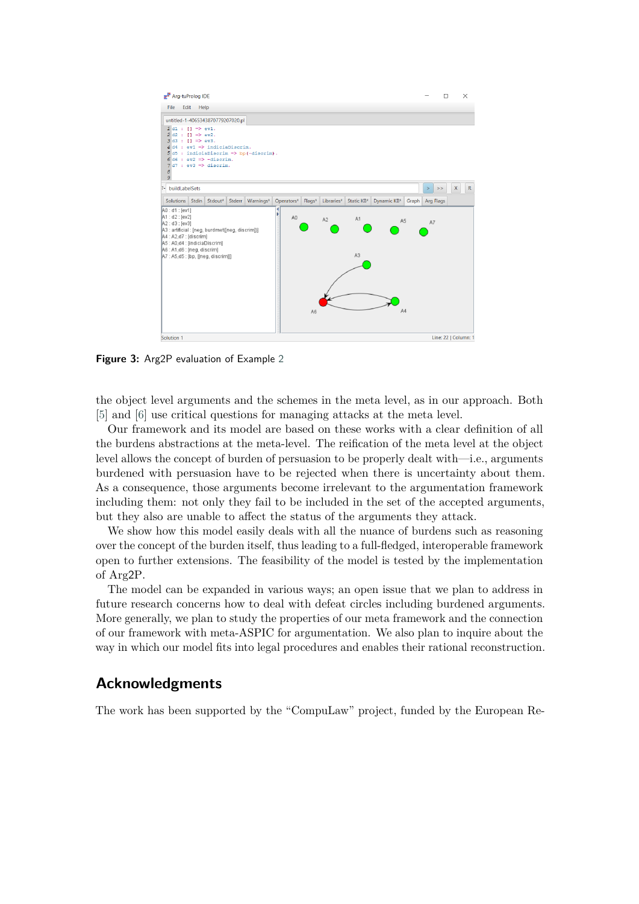

**Figure 3:** Arg2P evaluation of Example [2](#page-10-1)

the object level arguments and the schemes in the meta level, as in our approach. Both [\[5\]](#page-15-3) and [\[6\]](#page-15-4) use critical questions for managing attacks at the meta level.

Our framework and its model are based on these works with a clear definition of all the burdens abstractions at the meta-level. The reification of the meta level at the object level allows the concept of burden of persuasion to be properly dealt with—i.e., arguments burdened with persuasion have to be rejected when there is uncertainty about them. As a consequence, those arguments become irrelevant to the argumentation framework including them: not only they fail to be included in the set of the accepted arguments, but they also are unable to affect the status of the arguments they attack.

We show how this model easily deals with all the nuance of burdens such as reasoning over the concept of the burden itself, thus leading to a full-fledged, interoperable framework open to further extensions. The feasibility of the model is tested by the implementation of Arg2P.

The model can be expanded in various ways; an open issue that we plan to address in future research concerns how to deal with defeat circles including burdened arguments. More generally, we plan to study the properties of our meta framework and the connection of our framework with meta-ASPIC for argumentation. We also plan to inquire about the way in which our model fits into legal procedures and enables their rational reconstruction.

### **Acknowledgments**

The work has been supported by the "CompuLaw" project, funded by the European Re-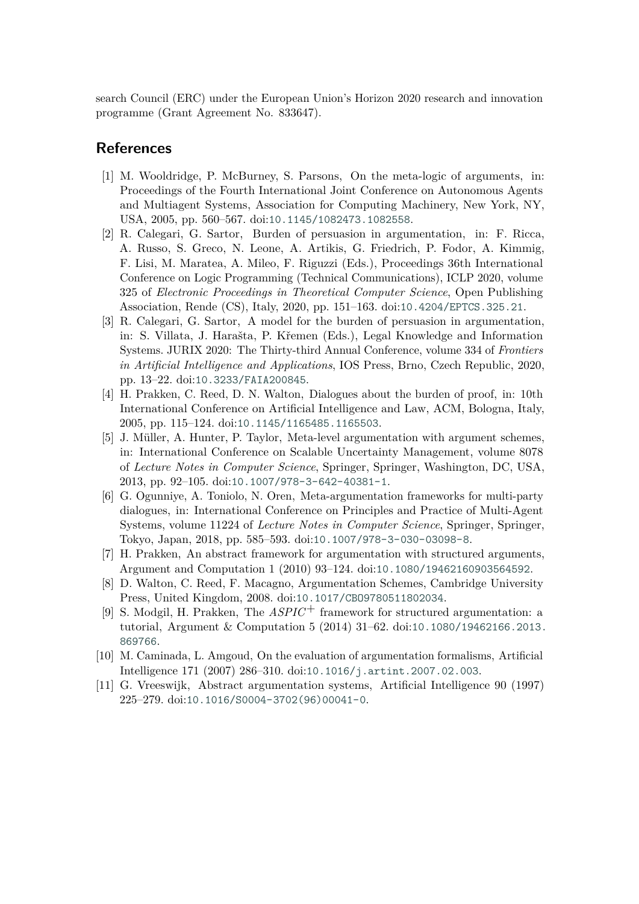search Council (ERC) under the European Union's Horizon 2020 research and innovation programme (Grant Agreement No. 833647).

# **References**

- [1] M. Wooldridge, P. McBurney, S. Parsons, On the meta-logic of arguments, in: Proceedings of the Fourth International Joint Conference on Autonomous Agents and Multiagent Systems, Association for Computing Machinery, New York, NY, USA, 2005, pp. 560–567. doi:[10.1145/1082473.1082558](http://dx.doi.org/10.1145/1082473.1082558).
- <span id="page-15-0"></span>[2] R. Calegari, G. Sartor, Burden of persuasion in argumentation, in: F. Ricca, A. Russo, S. Greco, N. Leone, A. Artikis, G. Friedrich, P. Fodor, A. Kimmig, F. Lisi, M. Maratea, A. Mileo, F. Riguzzi (Eds.), Proceedings 36th International Conference on Logic Programming (Technical Communications), ICLP 2020, volume 325 of *Electronic Proceedings in Theoretical Computer Science*, Open Publishing Association, Rende (CS), Italy, 2020, pp. 151–163. doi:[10.4204/EPTCS.325.21](http://dx.doi.org/10.4204/EPTCS.325.21).
- <span id="page-15-1"></span>[3] R. Calegari, G. Sartor, A model for the burden of persuasion in argumentation, in: S. Villata, J. Harašta, P. Křemen (Eds.), Legal Knowledge and Information Systems. JURIX 2020: The Thirty-third Annual Conference, volume 334 of *Frontiers in Artificial Intelligence and Applications*, IOS Press, Brno, Czech Republic, 2020, pp. 13–22. doi:[10.3233/FAIA200845](http://dx.doi.org/10.3233/FAIA200845).
- <span id="page-15-2"></span>[4] H. Prakken, C. Reed, D. N. Walton, Dialogues about the burden of proof, in: 10th International Conference on Artificial Intelligence and Law, ACM, Bologna, Italy, 2005, pp. 115–124. doi:[10.1145/1165485.1165503](http://dx.doi.org/10.1145/1165485.1165503).
- <span id="page-15-3"></span>[5] J. Müller, A. Hunter, P. Taylor, Meta-level argumentation with argument schemes, in: International Conference on Scalable Uncertainty Management, volume 8078 of *Lecture Notes in Computer Science*, Springer, Springer, Washington, DC, USA, 2013, pp. 92–105. doi:[10.1007/978-3-642-40381-1](http://dx.doi.org/10.1007/978-3-642-40381-1).
- <span id="page-15-4"></span>[6] G. Ogunniye, A. Toniolo, N. Oren, Meta-argumentation frameworks for multi-party dialogues, in: International Conference on Principles and Practice of Multi-Agent Systems, volume 11224 of *Lecture Notes in Computer Science*, Springer, Springer, Tokyo, Japan, 2018, pp. 585–593. doi:[10.1007/978-3-030-03098-8](http://dx.doi.org/10.1007/978-3-030-03098-8).
- <span id="page-15-5"></span>[7] H. Prakken, An abstract framework for argumentation with structured arguments, Argument and Computation 1 (2010) 93–124. doi:[10.1080/19462160903564592](http://dx.doi.org/10.1080/19462160903564592).
- <span id="page-15-6"></span>[8] D. Walton, C. Reed, F. Macagno, Argumentation Schemes, Cambridge University Press, United Kingdom, 2008. doi:[10.1017/CBO9780511802034](http://dx.doi.org/10.1017/CBO9780511802034).
- <span id="page-15-7"></span>[9] S. Modgil, H. Prakken, The *ASPIC*+ framework for structured argumentation: a tutorial, Argument & Computation 5 (2014) 31–62. doi:[10.1080/19462166.2013.](http://dx.doi.org/10.1080/19462166.2013.869766) [869766](http://dx.doi.org/10.1080/19462166.2013.869766).
- <span id="page-15-8"></span>[10] M. Caminada, L. Amgoud, On the evaluation of argumentation formalisms, Artificial Intelligence 171 (2007) 286–310. doi:[10.1016/j.artint.2007.02.003](http://dx.doi.org/10.1016/j.artint.2007.02.003).
- <span id="page-15-9"></span>[11] G. Vreeswijk, Abstract argumentation systems, Artificial Intelligence 90 (1997) 225–279. doi:[10.1016/S0004-3702\(96\)00041-0](http://dx.doi.org/10.1016/S0004-3702(96)00041-0).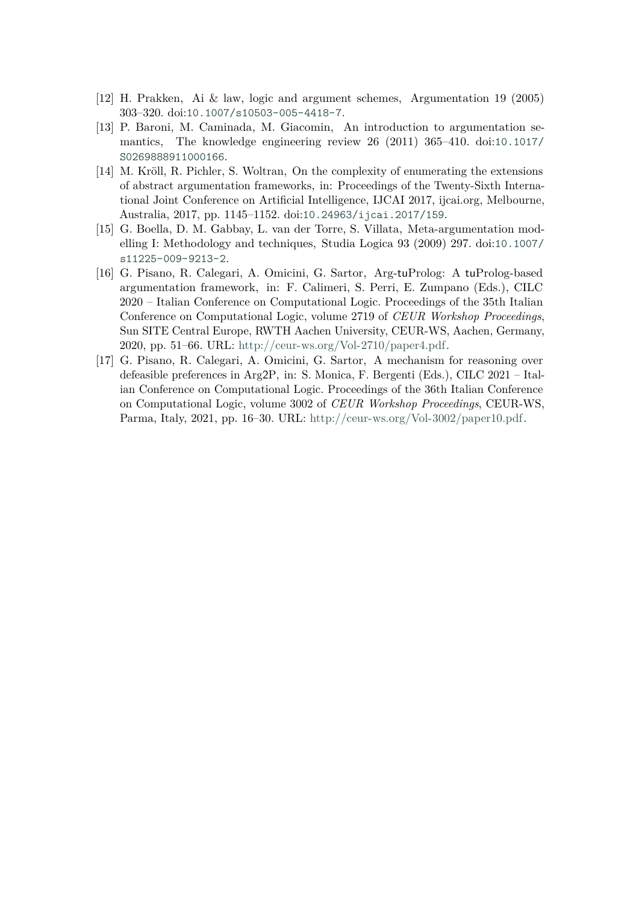- <span id="page-16-0"></span>[12] H. Prakken, Ai & law, logic and argument schemes, Argumentation 19 (2005) 303–320. doi:[10.1007/s10503-005-4418-7](http://dx.doi.org/10.1007/s10503-005-4418-7).
- <span id="page-16-1"></span>[13] P. Baroni, M. Caminada, M. Giacomin, An introduction to argumentation semantics, The knowledge engineering review 26 (2011) 365–410. doi:[10.1017/](http://dx.doi.org/10.1017/S0269888911000166) [S0269888911000166](http://dx.doi.org/10.1017/S0269888911000166).
- <span id="page-16-2"></span>[14] M. Kröll, R. Pichler, S. Woltran, On the complexity of enumerating the extensions of abstract argumentation frameworks, in: Proceedings of the Twenty-Sixth International Joint Conference on Artificial Intelligence, IJCAI 2017, ijcai.org, Melbourne, Australia, 2017, pp. 1145–1152. doi:[10.24963/ijcai.2017/159](http://dx.doi.org/10.24963/ijcai.2017/159).
- <span id="page-16-3"></span>[15] G. Boella, D. M. Gabbay, L. van der Torre, S. Villata, Meta-argumentation modelling I: Methodology and techniques, Studia Logica 93 (2009) 297. doi:[10.1007/](http://dx.doi.org/10.1007/s11225-009-9213-2) [s11225-009-9213-2](http://dx.doi.org/10.1007/s11225-009-9213-2).
- <span id="page-16-4"></span>[16] G. Pisano, R. Calegari, A. Omicini, G. Sartor, Arg-tuProlog: A tuProlog-based argumentation framework, in: F. Calimeri, S. Perri, E. Zumpano (Eds.), CILC 2020 – Italian Conference on Computational Logic. Proceedings of the 35th Italian Conference on Computational Logic, volume 2719 of *CEUR Workshop Proceedings*, Sun SITE Central Europe, RWTH Aachen University, CEUR-WS, Aachen, Germany, 2020, pp. 51–66. URL: [http://ceur-ws.org/Vol-2710/paper4.pdf.](http://ceur-ws.org/Vol-2710/paper4.pdf)
- <span id="page-16-5"></span>[17] G. Pisano, R. Calegari, A. Omicini, G. Sartor, A mechanism for reasoning over defeasible preferences in Arg2P, in: S. Monica, F. Bergenti (Eds.), CILC 2021 – Italian Conference on Computational Logic. Proceedings of the 36th Italian Conference on Computational Logic, volume 3002 of *CEUR Workshop Proceedings*, CEUR-WS, Parma, Italy, 2021, pp. 16–30. URL: [http://ceur-ws.org/Vol-3002/paper10.pdf.](http://ceur-ws.org/Vol-3002/paper10.pdf)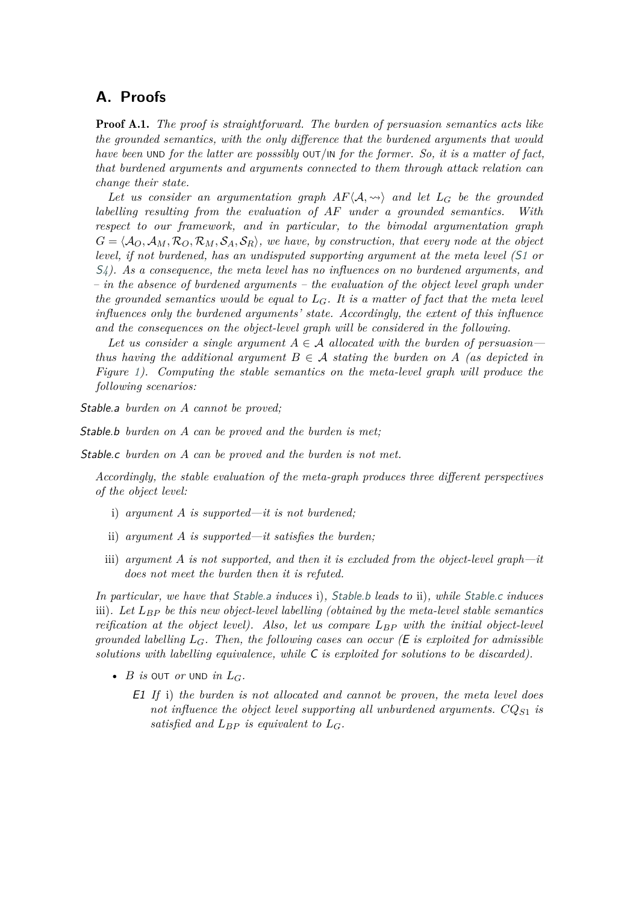### <span id="page-17-0"></span>**A. Proofs**

Proof A.1. *The proof is straightforward. The burden of persuasion semantics acts like the grounded semantics, with the only difference that the burdened arguments that would have been* UND *for the latter are posssibly* OUT*/*IN *for the former. So, it is a matter of fact, that burdened arguments and arguments connected to them through attack relation can change their state.*

Let us consider an argumentation graph  $AF\langle A,\leadsto\rangle$  and let  $L_G$  be the grounded *labelling resulting from the evaluation of under a grounded semantics. With respect to our framework, and in particular, to the bimodal argumentation graph*  $G = \langle A_O, A_M, R_O, R_M, S_A, S_R \rangle$ , we have, by construction, that every node at the object *level, if not burdened, has an undisputed supporting argument at the meta level (*[S](#page-7-0)*1 or* S*[4\)](#page-8-1). As a consequence, the meta level has no influences on no burdened arguments, and – in the absence of burdened arguments – the evaluation of the object level graph under the grounded semantics would be equal to*  $L_G$ . It is a matter of fact that the meta level *influences only the burdened arguments' state. Accordingly, the extent of this influence and the consequences on the object-level graph will be considered in the following.*

Let us consider a single argument  $A \in \mathcal{A}$  allocated with the burden of persuasion *thus having the additional argument*  $B \in \mathcal{A}$  *stating the burden on*  $A$  (as depicted in *Figure [1\)](#page-9-0). Computing the stable semantics on the meta-level graph will produce the following scenarios:*

<span id="page-17-1"></span>Stable.a *burden on cannot be proved;*

<span id="page-17-2"></span>Stable.b *burden* on A can be proved and the burden is met:

<span id="page-17-3"></span>Stable.c *burden on* A can be proved and the burden is not met.

*Accordingly, the stable evaluation of the meta-graph produces three different perspectives of the object level:*

- i) *argument is supported—it is not burdened;*
- ii) *argument is supported—it satisfies the burden;*
- iii) *argument is not supported, and then it is excluded from the object-level graph—it does not meet the burden then it is refuted.*

*In particular, we have that* [Stable.a](#page-17-1) *induces* i)*,* [Stable.b](#page-17-2) *leads to* ii)*, while* [Stable.c](#page-17-3) *induces* iii)*. Let be this new object-level labelling (obtained by the meta-level stable semantics reification at the object level). Also, let us compare*  $L_{BP}$  with the initial object-level *grounded labelling*  $L_G$ . Then, the following cases can occur ( $E$  is exploited for admissible *solutions with labelling equivalence, while* C *is exploited for solutions to be discarded).*

- $B$  *is* OUT *or* UND *in*  $L_G$ .
	- E1 *If* i) *the burden is not allocated and cannot be proven, the meta level does not influence the object level supporting all unburdened arguments.*  $CQ_{S1}$  *is satisfied and*  $L_{BP}$  *is equivalent to*  $L_G$ .